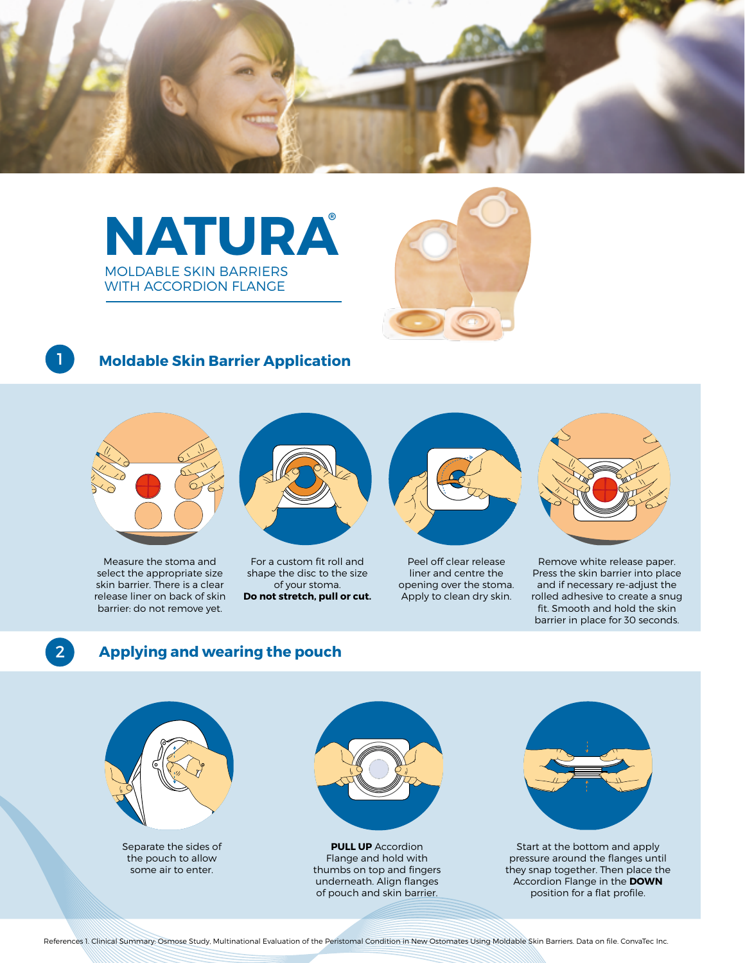





### 1

#### **Moldable Skin Barrier Application**



Measure the stoma and select the appropriate size skin barrier. There is a clear release liner on back of skin barrier: do not remove yet.



For a custom fit roll and shape the disc to the size of your stoma. **Do not stretch, pull or cut.**



Peel off clear release liner and centre the opening over the stoma. Apply to clean dry skin.



Remove white release paper. Press the skin barrier into place and if necessary re-adjust the rolled adhesive to create a snug fit. Smooth and hold the skin barrier in place for 30 seconds.

# 2

#### **Applying and wearing the pouch**



Separate the sides of the pouch to allow some air to enter.



**PULL UP** Accordion Flange and hold with thumbs on top and fingers underneath. Align flanges of pouch and skin barrier.



Start at the bottom and apply pressure around the flanges until they snap together. Then place the Accordion Flange in the **DOWN** position for a flat profile.

References 1. Clinical Summary: Osmose Study, Multinational Evaluation of the Peristomal Condition in New Ostomates Using Moldable Skin Barriers. Data on file. ConvaTec Inc.